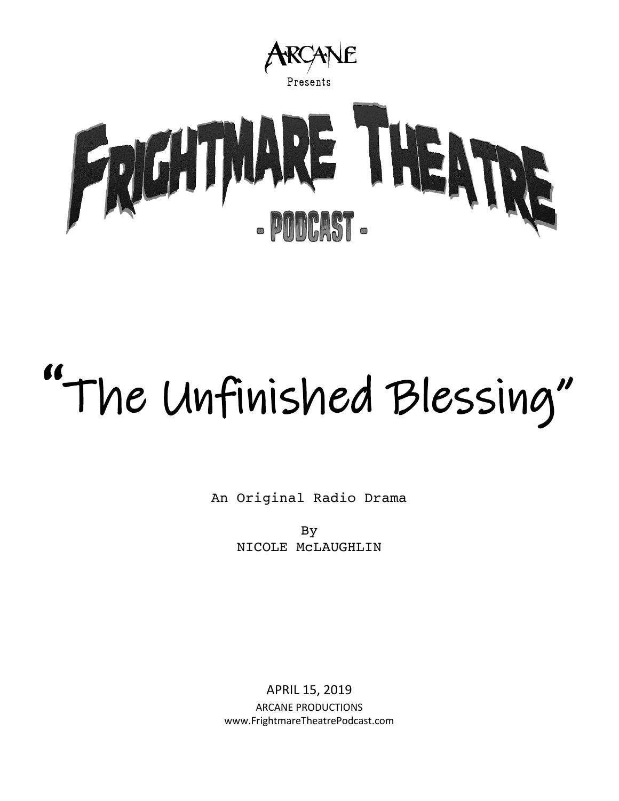

# "The Unfinished Blessing"

An Original Radio Drama

By NICOLE McLAUGHLIN

APRIL 15, 2019 ARCANE PRODUCTIONS www.FrightmareTheatrePodcast.com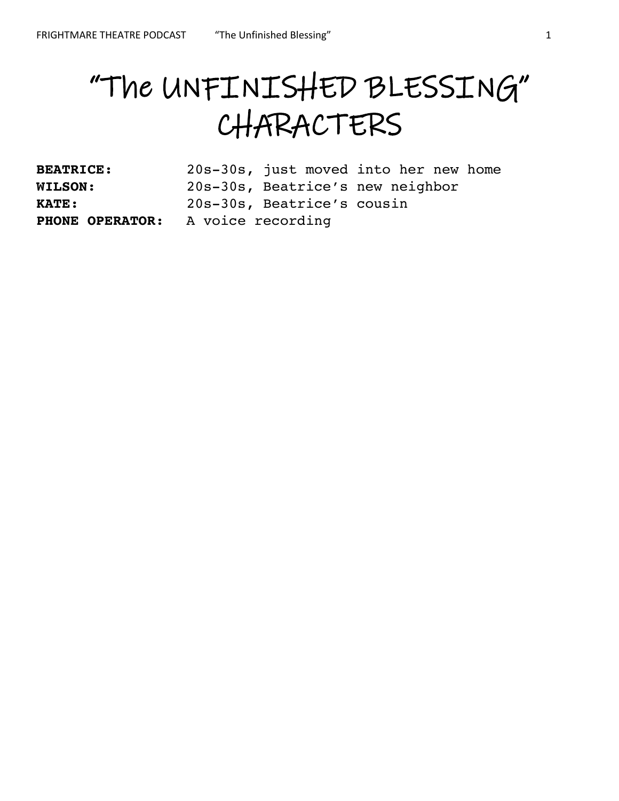# "The UNFINISHED BLESSING" CHARACTERS

| <b>BEATRICE:</b>                  | 20s-30s, just moved into her new home |  |
|-----------------------------------|---------------------------------------|--|
| <b>WILSON:</b>                    | 20s-30s, Beatrice's new neighbor      |  |
| <b>KATE:</b>                      | 20s-30s, Beatrice's cousin            |  |
| PHONE OPERATOR: A voice recording |                                       |  |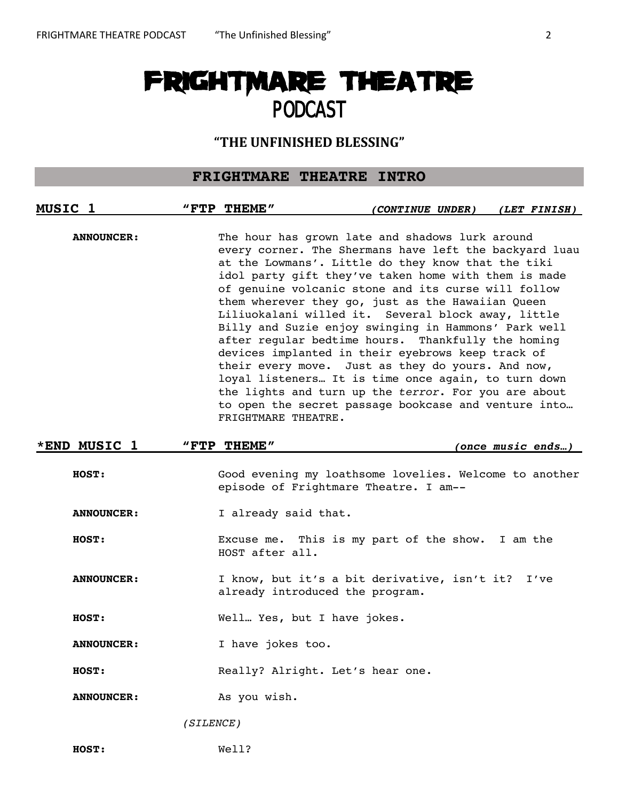# FRIGHTMARE THEATRE PODCAST

# **"THE UNFINISHED BLESSING"**

# **FRIGHTMARE THEATRE INTRO**

| MUSIC <sub>1</sub> | "FTP THEME"                      | <i>(CONTINUE UNDER)</i>                                                                                                                                                                                                                                                                                                                                                                                                                                                                                                                                                                                                                                                                                                                                                                  | (LET FINISH)      |  |  |
|--------------------|----------------------------------|------------------------------------------------------------------------------------------------------------------------------------------------------------------------------------------------------------------------------------------------------------------------------------------------------------------------------------------------------------------------------------------------------------------------------------------------------------------------------------------------------------------------------------------------------------------------------------------------------------------------------------------------------------------------------------------------------------------------------------------------------------------------------------------|-------------------|--|--|
| <b>ANNOUNCER:</b>  | FRIGHTMARE THEATRE.              | The hour has grown late and shadows lurk around<br>every corner. The Shermans have left the backyard luau<br>at the Lowmans'. Little do they know that the tiki<br>idol party gift they've taken home with them is made<br>of genuine volcanic stone and its curse will follow<br>them wherever they go, just as the Hawaiian Queen<br>Liliuokalani willed it. Several block away, little<br>Billy and Suzie enjoy swinging in Hammons' Park well<br>after regular bedtime hours. Thankfully the homing<br>devices implanted in their eyebrows keep track of<br>their every move. Just as they do yours. And now,<br>loyal listeners It is time once again, to turn down<br>the lights and turn up the terror. For you are about<br>to open the secret passage bookcase and venture into |                   |  |  |
| *END MUSIC 1       | "FTP THEME"                      |                                                                                                                                                                                                                                                                                                                                                                                                                                                                                                                                                                                                                                                                                                                                                                                          | (once music ends) |  |  |
| HOST:              |                                  | Good evening my loathsome lovelies. Welcome to another<br>episode of Frightmare Theatre. I am--                                                                                                                                                                                                                                                                                                                                                                                                                                                                                                                                                                                                                                                                                          |                   |  |  |
| <b>ANNOUNCER:</b>  | I already said that.             |                                                                                                                                                                                                                                                                                                                                                                                                                                                                                                                                                                                                                                                                                                                                                                                          |                   |  |  |
| <b>HOST:</b>       | HOST after all.                  | Excuse me. This is my part of the show. I am the                                                                                                                                                                                                                                                                                                                                                                                                                                                                                                                                                                                                                                                                                                                                         |                   |  |  |
| <b>ANNOUNCER:</b>  |                                  | I know, but it's a bit derivative, isn't it?<br>I've<br>already introduced the program.                                                                                                                                                                                                                                                                                                                                                                                                                                                                                                                                                                                                                                                                                                  |                   |  |  |
| HOST:              | Well Yes, but I have jokes.      |                                                                                                                                                                                                                                                                                                                                                                                                                                                                                                                                                                                                                                                                                                                                                                                          |                   |  |  |
| <b>ANNOUNCER:</b>  | I have jokes too.                |                                                                                                                                                                                                                                                                                                                                                                                                                                                                                                                                                                                                                                                                                                                                                                                          |                   |  |  |
| HOST:              | Really? Alright. Let's hear one. |                                                                                                                                                                                                                                                                                                                                                                                                                                                                                                                                                                                                                                                                                                                                                                                          |                   |  |  |
| <b>ANNOUNCER:</b>  | As you wish.                     |                                                                                                                                                                                                                                                                                                                                                                                                                                                                                                                                                                                                                                                                                                                                                                                          |                   |  |  |

*(SILENCE)*

**HOST:** Well?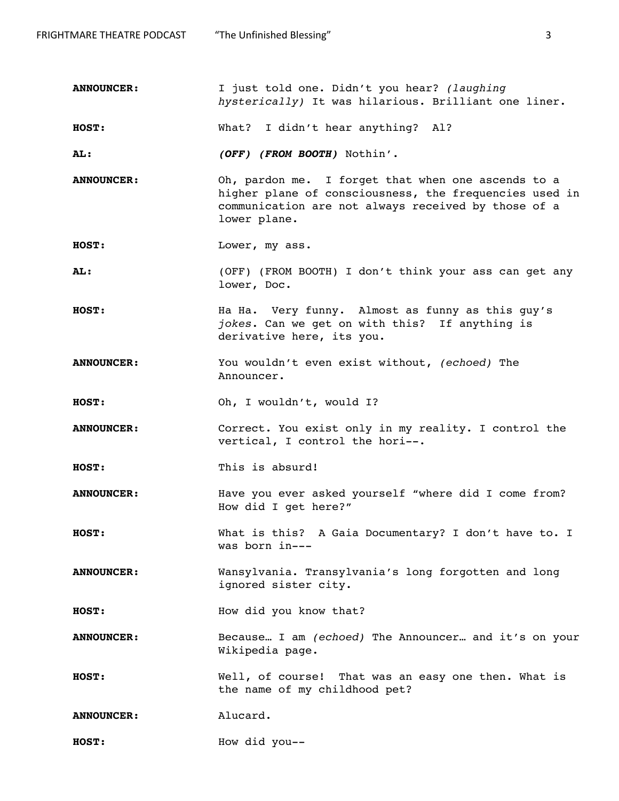FRIGHTMARE THEATRE PODCAST The Unfinished Blessing" 33

**ANNOUNCER:** I just told one. Didn't you hear? *(laughing hysterically)* It was hilarious. Brilliant one liner.

**HOST:** What? I didn't hear anything? Al?

**AL: (OFF) (FROM BOOTH)** Nothin'.

**ANNOUNCER:** Oh, pardon me. I forget that when one ascends to a higher plane of consciousness, the frequencies used in communication are not always received by those of a lower plane.

**HOST:** Lower, my ass.

**AL:** (OFF) (FROM BOOTH) I don't think your ass can get any lower, Doc.

**HOST:** Ha Ha. Very funny. Almost as funny as this guy's *jokes*. Can we get on with this? If anything is derivative here, its you.

**ANNOUNCER:** You wouldn't even exist without, *(echoed)* The Announcer.

**HOST:** Oh, I wouldn't, would I?

**ANNOUNCER:** Correct. You exist only in my reality. I control the vertical, I control the hori--.

**HOST:** This is absurd!

**ANNOUNCER:** Have you ever asked yourself "where did I come from? How did I get here?"

**HOST:** What is this? A Gaia Documentary? I don't have to. I was born in---

**ANNOUNCER:** Wansylvania. Transylvania's long forgotten and long ignored sister city.

**HOST:** How did you know that?

**ANNOUNCER:** Because… I am *(echoed)* The Announcer… and it's on your Wikipedia page.

**HOST:** Well, of course! That was an easy one then. What is the name of my childhood pet?

ANNOUNCER: Alucard.

**HOST:** How did you--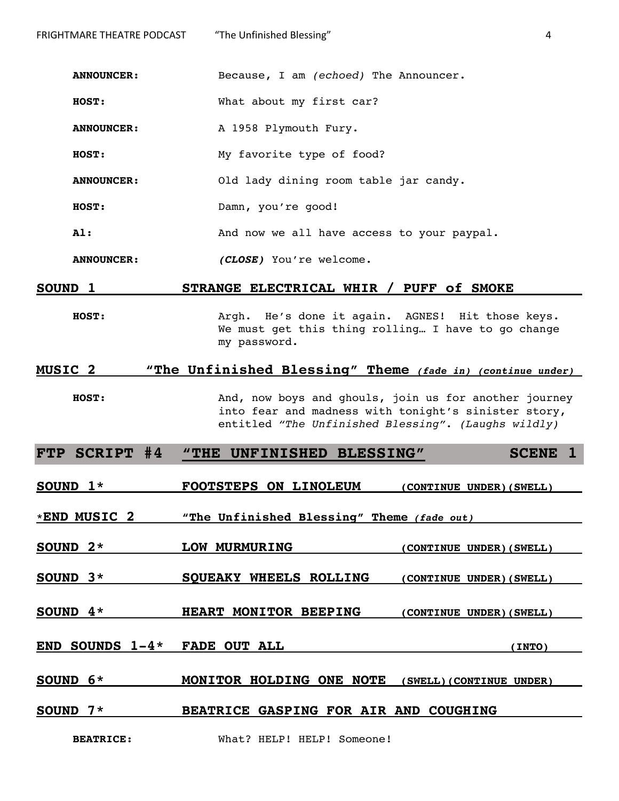**ANNOUNCER:** Because, I am *(echoed)* The Announcer.

**HOST:** What about my first car?

ANNOUNCER: A 1958 Plymouth Fury.

**HOST:** My favorite type of food?

**ANNOUNCER:** Old lady dining room table jar candy.

**HOST:** Damn, you're good!

**Al:** And now we all have access to your paypal.

**ANNOUNCER: (CLOSE)** You're welcome.

#### **SOUND 1 STRANGE ELECTRICAL WHIR / PUFF of SMOKE**

**HOST:** Argh. He's done it again. AGNES! Hit those keys. We must get this thing rolling… I have to go change my password.

# **MUSIC 2 "The Unfinished Blessing" Theme (fade in) (continue under)**

**HOST:** And, now boys and ghouls, join us for another journey into fear and madness with tonight's sinister story, entitled *"The Unfinished Blessing"*. *(Laughs wildly)*

**FTP SCRIPT #4 "THE UNFINISHED BLESSING" SCENE 1**

**SOUND 1\* FOOTSTEPS ON LINOLEUM (CONTINUE UNDER)(SWELL)**

**\*END MUSIC 2 "The Unfinished Blessing" Theme (fade out)** 

**SOUND 2\* LOW MURMURING (CONTINUE UNDER)(SWELL)**

**SOUND 3\* SQUEAKY WHEELS ROLLING (CONTINUE UNDER)(SWELL)**

**SOUND 4\* HEART MONITOR BEEPING (CONTINUE UNDER)(SWELL)**

**END SOUNDS 1-4\* FADE OUT ALL (INTO)**

**SOUND 6\* MONITOR HOLDING ONE NOTE (SWELL)(CONTINUE UNDER)**

#### **SOUND 7\* BEATRICE GASPING FOR AIR AND COUGHING**

BEATRICE: What? HELP! HELP! Someone!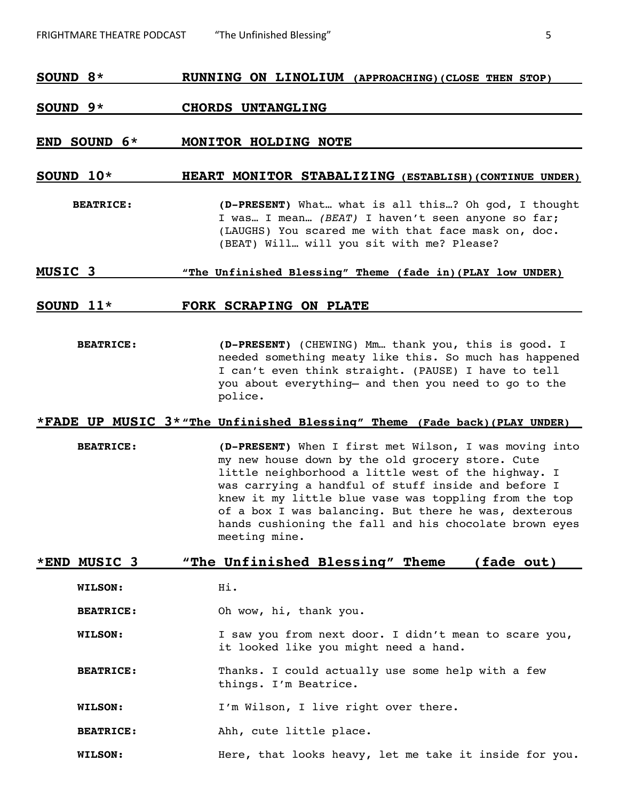# **SOUND 8\* RUNNING ON LINOLIUM (APPROACHING)(CLOSE THEN STOP)**

#### **SOUND 9\* CHORDS UNTANGLING**

#### **END SOUND 6\* MONITOR HOLDING NOTE**

# **SOUND 10\* HEART MONITOR STABALIZING (ESTABLISH)(CONTINUE UNDER)**

**BEATRICE: (D-PRESENT)** What… what is all this…? Oh god, I thought I was… I mean… *(BEAT)* I haven't seen anyone so far; (LAUGHS) You scared me with that face mask on, doc. (BEAT) Will… will you sit with me? Please?

#### **MUSIC 3 "The Unfinished Blessing" Theme (fade in)(PLAY low UNDER)**

#### **SOUND 11\* FORK SCRAPING ON PLATE**

**BEATRICE: (D-PRESENT)** (CHEWING) Mm… thank you, this is good. I needed something meaty like this. So much has happened I can't even think straight. (PAUSE) I have to tell you about everything— and then you need to go to the police.

# **\*FADE UP MUSIC 3\*"The Unfinished Blessing" Theme (Fade back)(PLAY UNDER)**

**BEATRICE: (D-PRESENT)** When I first met Wilson, I was moving into my new house down by the old grocery store. Cute little neighborhood a little west of the highway. I was carrying a handful of stuff inside and before I knew it my little blue vase was toppling from the top of a box I was balancing. But there he was, dexterous hands cushioning the fall and his chocolate brown eyes meeting mine.

#### **\*END MUSIC 3 "The Unfinished Blessing" Theme (fade out)**

**WILSON:** Hi.

**BEATRICE:** Oh wow, hi, thank you.

**WILSON:** I saw you from next door. I didn't mean to scare you, it looked like you might need a hand.

**BEATRICE:** Thanks. I could actually use some help with a few things. I'm Beatrice.

**WILSON:** I'm Wilson, I live right over there.

**BEATRICE:** Ahh, cute little place.

WILSON: Here, that looks heavy, let me take it inside for you.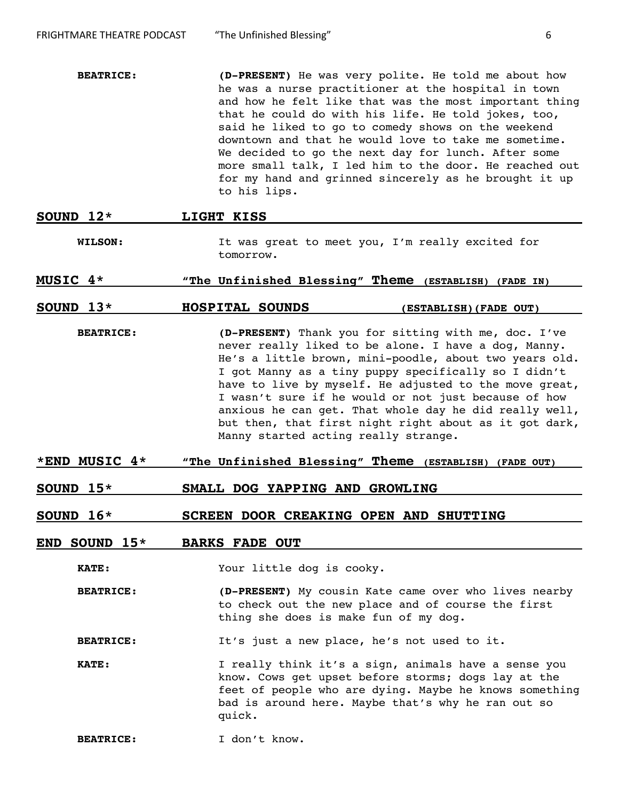- **BEATRICE: (D-PRESENT)** He was very polite. He told me about how he was a nurse practitioner at the hospital in town and how he felt like that was the most important thing that he could do with his life. He told jokes, too, said he liked to go to comedy shows on the weekend downtown and that he would love to take me sometime. We decided to go the next day for lunch. After some more small talk, I led him to the door. He reached out for my hand and grinned sincerely as he brought it up to his lips.
- **SOUND 12\* LIGHT KISS WILSON:** It was great to meet you, I'm really excited for tomorrow.
- **MUSIC 4\* "The Unfinished Blessing" Theme (ESTABLISH) (FADE IN)**

#### **SOUND 13\* HOSPITAL SOUNDS (ESTABLISH)(FADE OUT)**

- **BEATRICE: (D-PRESENT)** Thank you for sitting with me, doc. I've never really liked to be alone. I have a dog, Manny. He's a little brown, mini-poodle, about two years old. I got Manny as a tiny puppy specifically so I didn't have to live by myself. He adjusted to the move great, I wasn't sure if he would or not just because of how anxious he can get. That whole day he did really well, but then, that first night right about as it got dark, Manny started acting really strange.
- **\*END MUSIC 4\* "The Unfinished Blessing" Theme (ESTABLISH) (FADE OUT)**
- **SOUND 15\* SMALL DOG YAPPING AND GROWLING**

#### **SOUND 16\* SCREEN DOOR CREAKING OPEN AND SHUTTING**

#### **END SOUND 15\* BARKS FADE OUT**

**KATE:** Your little dog is cooky.

**BEATRICE: (D-PRESENT)** My cousin Kate came over who lives nearby to check out the new place and of course the first thing she does is make fun of my dog.

**BEATRICE:** It's just a new place, he's not used to it.

**KATE:** I really think it's a sign, animals have a sense you know. Cows get upset before storms; dogs lay at the feet of people who are dying. Maybe he knows something bad is around here. Maybe that's why he ran out so quick.

**BEATRICE:** I don't know.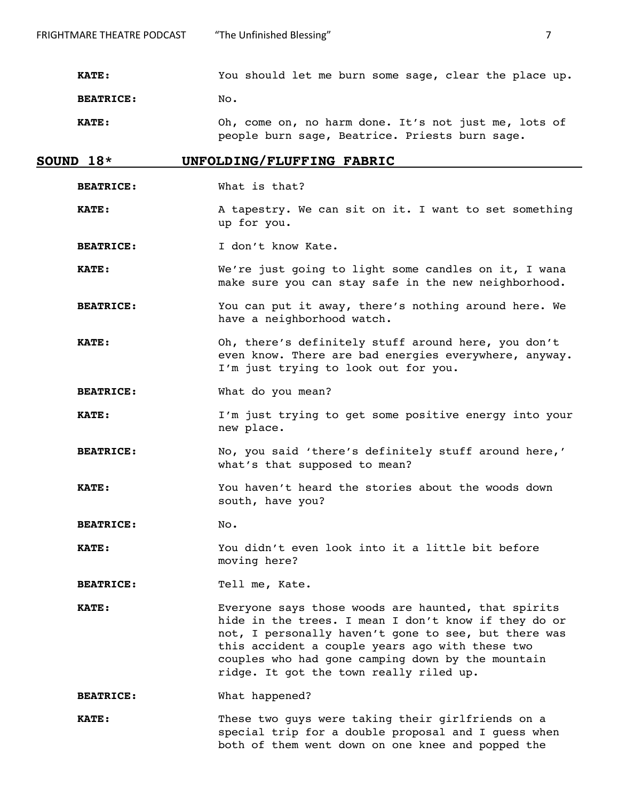**KATE:** You should let me burn some sage, clear the place up.

**BEATRICE:** No.

**KATE:** Oh, come on, no harm done. It's not just me, lots of people burn sage, Beatrice. Priests burn sage.

#### **SOUND 18\* UNFOLDING/FLUFFING FABRIC**

- **BEATRICE:** What is that?
- **KATE:** A tapestry. We can sit on it. I want to set something up for you.
- BEATRICE: I don't know Kate.
- **KATE:** We're just going to light some candles on it, I wana make sure you can stay safe in the new neighborhood.
- **BEATRICE:** You can put it away, there's nothing around here. We have a neighborhood watch.
- **KATE:** Oh, there's definitely stuff around here, you don't even know. There are bad energies everywhere, anyway. I'm just trying to look out for you.
- **BEATRICE:** What do you mean?
- **KATE:** I'm just trying to get some positive energy into your new place.
- **BEATRICE:** No, you said 'there's definitely stuff around here,' what's that supposed to mean?
- **KATE:** You haven't heard the stories about the woods down south, have you?
- **BEATRICE:** No**.**
- **KATE:** You didn't even look into it a little bit before moving here?
- **BEATRICE:** Tell me, Kate.
- **KATE:** Everyone says those woods are haunted, that spirits hide in the trees. I mean I don't know if they do or not, I personally haven't gone to see, but there was this accident a couple years ago with these two couples who had gone camping down by the mountain ridge. It got the town really riled up.
- **BEATRICE:** What happened?
- **KATE:** These two quys were taking their girlfriends on a special trip for a double proposal and I guess when both of them went down on one knee and popped the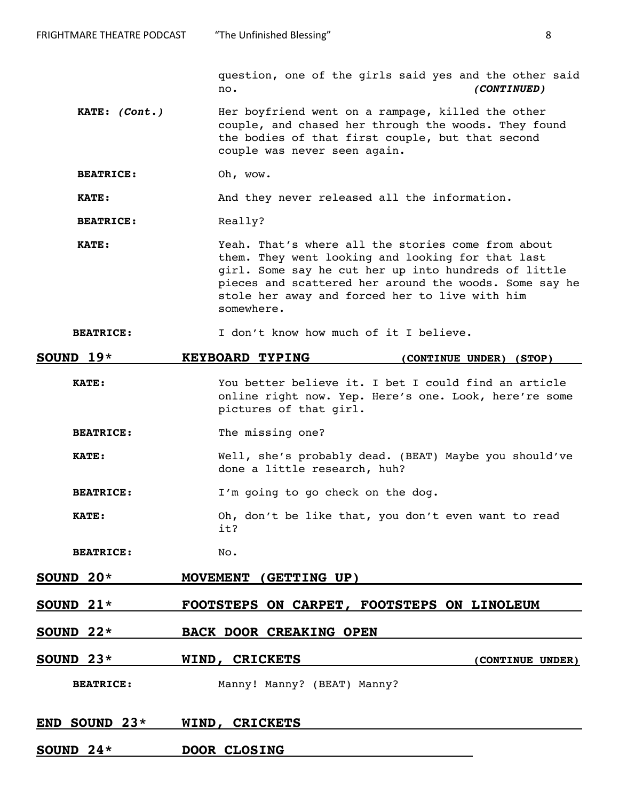question, one of the girls said yes and the other said no. **(CONTINUED)**

**KATE: (Cont.)** Her boyfriend went on a rampage, killed the other couple, and chased her through the woods. They found the bodies of that first couple, but that second couple was never seen again.

**BEATRICE:** Oh, wow.

**KATE:** And they never released all the information.

BEATRICE: Really?

**KATE:** Yeah. That's where all the stories come from about them. They went looking and looking for that last girl. Some say he cut her up into hundreds of little pieces and scattered her around the woods. Some say he stole her away and forced her to live with him somewhere.

**BEATRICE:** I don't know how much of it I believe.

| SOUND $19*$      | <b>KEYBOARD TYPING</b>                                                                                                                  | (CONTINUE UNDER) (STOP) |
|------------------|-----------------------------------------------------------------------------------------------------------------------------------------|-------------------------|
| <b>KATE:</b>     | You better believe it. I bet I could find an article<br>online right now. Yep. Here's one. Look, here're some<br>pictures of that girl. |                         |
| <b>BEATRICE:</b> | The missing one?                                                                                                                        |                         |
| <b>KATE:</b>     | Well, she's probably dead. (BEAT) Maybe you should've<br>done a little research, huh?                                                   |                         |
| <b>BEATRICE:</b> | I'm going to go check on the dog.                                                                                                       |                         |
| KATE:            | Oh, don't be like that, you don't even want to read<br>it?                                                                              |                         |
| <b>BEATRICE:</b> | No.                                                                                                                                     |                         |
| SOUND 20*        | MOVEMENT (GETTING UP)                                                                                                                   |                         |
| SOUND $21*$      | FOOTSTEPS ON CARPET, FOOTSTEPS ON LINOLEUM                                                                                              |                         |
| SOUND $22*$      | <b>BACK DOOR CREAKING OPEN</b>                                                                                                          |                         |
| SOUND $23*$      | WIND, CRICKETS                                                                                                                          | (CONTINUE UNDER)        |
| <b>BEATRICE:</b> | Manny! Manny? (BEAT) Manny?                                                                                                             |                         |
| END SOUND $23*$  | WIND, CRICKETS                                                                                                                          |                         |
| SOUND $24*$      | DOOR CLOSING                                                                                                                            |                         |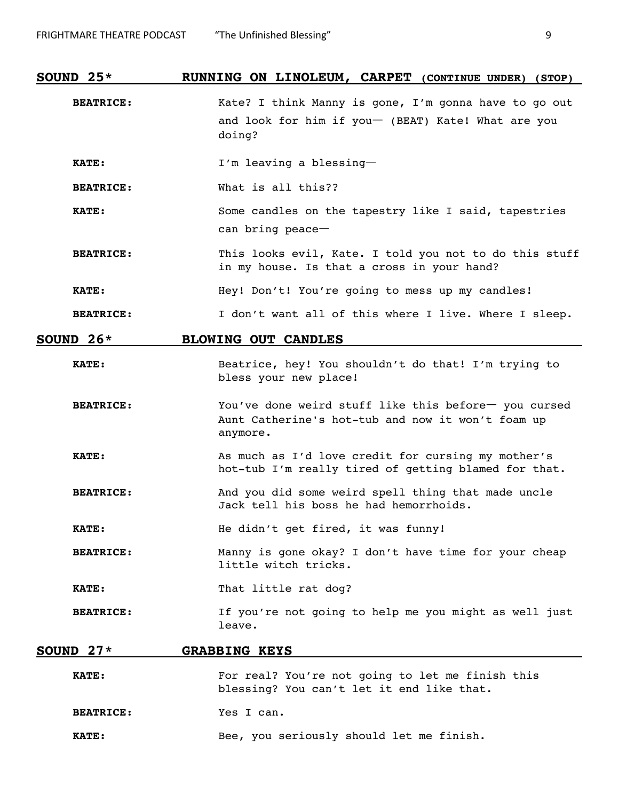| SOUND $25*$      | RUNNING ON LINOLEUM, CARPET (CONTINUE UNDER)<br>(STOP)                                                                |  |  |
|------------------|-----------------------------------------------------------------------------------------------------------------------|--|--|
| <b>BEATRICE:</b> | Kate? I think Manny is gone, I'm gonna have to go out<br>and look for him if you- (BEAT) Kate! What are you<br>doing? |  |  |
| <b>KATE:</b>     | I'm leaving a blessing-                                                                                               |  |  |
| <b>BEATRICE:</b> | What is all this??                                                                                                    |  |  |
| <b>KATE:</b>     | Some candles on the tapestry like I said, tapestries<br>can bring peace-                                              |  |  |
| <b>BEATRICE:</b> | This looks evil, Kate. I told you not to do this stuff<br>in my house. Is that a cross in your hand?                  |  |  |
| <b>KATE:</b>     | Hey! Don't! You're going to mess up my candles!                                                                       |  |  |
| <b>BEATRICE:</b> | I don't want all of this where I live. Where I sleep.                                                                 |  |  |
| SOUND $26*$      | <b>BLOWING OUT CANDLES</b>                                                                                            |  |  |
| <b>KATE:</b>     | Beatrice, hey! You shouldn't do that! I'm trying to<br>bless your new place!                                          |  |  |
| <b>BEATRICE:</b> | You've done weird stuff like this before- you cursed<br>Aunt Catherine's hot-tub and now it won't foam up<br>anymore. |  |  |
| <b>KATE:</b>     | As much as I'd love credit for cursing my mother's<br>hot-tub I'm really tired of getting blamed for that.            |  |  |
| <b>BEATRICE:</b> | And you did some weird spell thing that made uncle<br>Jack tell his boss he had hemorrhoids.                          |  |  |
| <b>KATE:</b>     | He didn't get fired, it was funny!                                                                                    |  |  |
| <b>BEATRICE:</b> | Manny is gone okay? I don't have time for your cheap<br>little witch tricks.                                          |  |  |
| <b>KATE:</b>     | That little rat dog?                                                                                                  |  |  |
| <b>BEATRICE:</b> | If you're not going to help me you might as well just<br>leave.                                                       |  |  |
| SOUND $27*$      | <b>GRABBING KEYS</b>                                                                                                  |  |  |
| <b>KATE:</b>     | For real? You're not going to let me finish this<br>blessing? You can't let it end like that.                         |  |  |

**BEATRICE:** Yes I can.

**KATE:** Bee, you seriously should let me finish.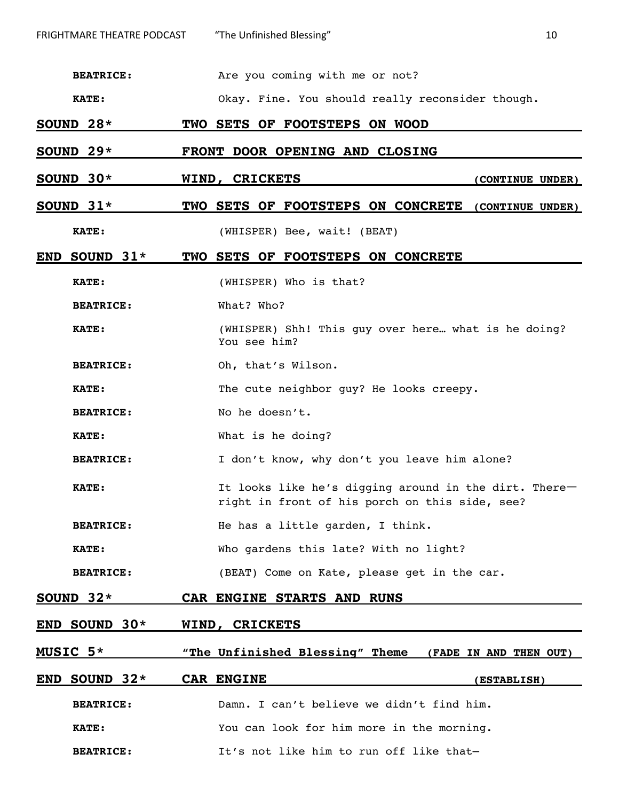**BEATRICE:** Are you coming with me or not?

**KATE:** Okay. Fine. You should really reconsider though.

**SOUND 28\* TWO SETS OF FOOTSTEPS ON WOOD**

**SOUND 29\* FRONT DOOR OPENING AND CLOSING**

**SOUND 30\* WIND, CRICKETS (CONTINUE UNDER)**

#### **SOUND 31\* TWO SETS OF FOOTSTEPS ON CONCRETE (CONTINUE UNDER)**

**KATE:** (WHISPER) Bee, wait! (BEAT)

#### **END SOUND 31\* TWO SETS OF FOOTSTEPS ON CONCRETE**

**KATE:** (WHISPER) Who is that?

**BEATRICE:** What? Who?

**KATE:** (WHISPER) Shh! This guy over here… what is he doing? You see him?

**BEATRICE:** Oh, that's Wilson.

KATE: The cute neighbor guy? He looks creepy.

BEATRICE: No he doesn't.

**KATE:** What is he doing?

**BEATRICE:** I don't know, why don't you leave him alone?

**KATE:** It looks like he's digging around in the dirt. Thereright in front of his porch on this side, see?

**BEATRICE:** He has a little garden, I think.

**KATE:** Who gardens this late? With no light?

**BEATRICE:** (BEAT) Come on Kate, please get in the car.

**SOUND 32\* CAR ENGINE STARTS AND RUNS**

**END SOUND 30\* WIND, CRICKETS**

**MUSIC 5\* "The Unfinished Blessing" Theme (FADE IN AND THEN OUT)**

| END SOUND $32*$  | <b>CAR ENGINE</b>                         | <b>(ESTABLISH)</b> |
|------------------|-------------------------------------------|--------------------|
| <b>BEATRICE:</b> | Damn. I can't believe we didn't find him. |                    |
| <b>KATE:</b>     | You can look for him more in the morning. |                    |
| <b>BEATRICE:</b> | It's not like him to run off like that-   |                    |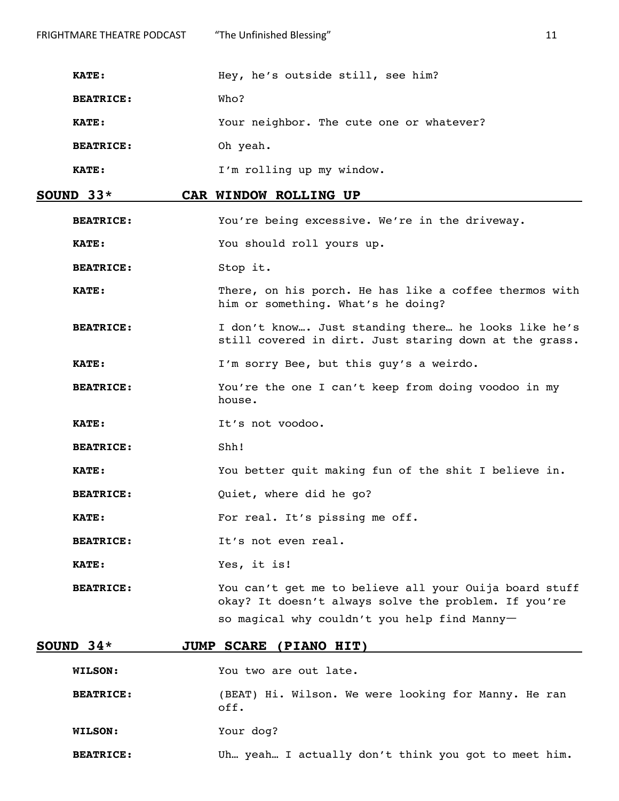| <b>FRIGHTMARE THEATRE PODCAST</b> | "The Unfinished Blessing"                                                                                     | 11 |  |
|-----------------------------------|---------------------------------------------------------------------------------------------------------------|----|--|
| <b>KATE:</b>                      | Hey, he's outside still, see him?                                                                             |    |  |
| <b>BEATRICE:</b>                  | Who?                                                                                                          |    |  |
| <b>KATE:</b>                      | Your neighbor. The cute one or whatever?                                                                      |    |  |
| <b>BEATRICE:</b>                  | Oh yeah.                                                                                                      |    |  |
| KATE:                             | I'm rolling up my window.                                                                                     |    |  |
| SOUND $33*$                       | CAR WINDOW ROLLING UP                                                                                         |    |  |
| <b>BEATRICE:</b>                  | You're being excessive. We're in the driveway.                                                                |    |  |
| <b>KATE:</b>                      | You should roll yours up.                                                                                     |    |  |
| <b>BEATRICE:</b>                  | Stop it.                                                                                                      |    |  |
| KATE:                             | There, on his porch. He has like a coffee thermos with<br>him or something. What's he doing?                  |    |  |
| <b>BEATRICE:</b>                  | I don't know Just standing there he looks like he's<br>still covered in dirt. Just staring down at the grass. |    |  |

**KATE:** I'm sorry Bee, but this guy's a weirdo.

**BEATRICE:** You're the one I can't keep from doing voodoo in my house.

KATE: It's not voodoo.

**BEATRICE:** Shh!

**KATE:** You better quit making fun of the shit I believe in.

**BEATRICE:** Quiet, where did he go?

**KATE:** For real. It's pissing me off.

BEATRICE: It's not even real.

**KATE:** Yes, it is!

**BEATRICE:** You can't get me to believe all your Ouija board stuff okay? It doesn't always solve the problem. If you're so magical why couldn't you help find Manny-

#### **SOUND 34\* JUMP SCARE (PIANO HIT)**

**WILSON:** You two are out late.

**BEATRICE:** (BEAT) Hi. Wilson. We were looking for Manny. He ran off.

**WILSON:** Your dog?

**BEATRICE:** Uh… yeah… I actually don't think you got to meet him.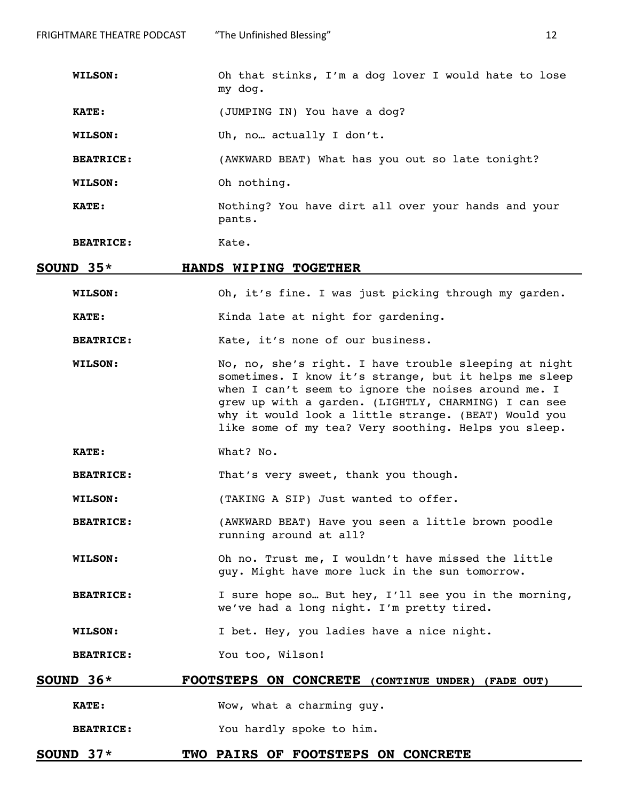**KATE:** (JUMPING IN) You have a dog?

**WILSON:** Uh, no… actually I don't.

**BEATRICE:** (AWKWARD BEAT) What has you out so late tonight?

**WILSON:** Oh nothing.

**KATE:** Nothing? You have dirt all over your hands and your pants.

**BEATRICE:** Kate.

#### **SOUND 35\* HANDS WIPING TOGETHER**

**WILSON:** Oh, it's fine. I was just picking through my garden.

**KATE:** Kinda late at night for gardening.

**BEATRICE:** Kate, it's none of our business.

- **WILSON:** No, no, she's right. I have trouble sleeping at night sometimes. I know it's strange, but it helps me sleep when I can't seem to ignore the noises around me. I grew up with a garden. (LIGHTLY, CHARMING) I can see why it would look a little strange. (BEAT) Would you like some of my tea? Very soothing. Helps you sleep.
- **KATE:** What? No.

**BEATRICE:** That's very sweet, thank you though.

**WILSON:** (TAKING A SIP) Just wanted to offer.

**BEATRICE:** (AWKWARD BEAT) Have you seen a little brown poodle running around at all?

**WILSON:** Oh no. Trust me, I wouldn't have missed the little guy. Might have more luck in the sun tomorrow.

**BEATRICE:** I sure hope so... But hey, I'll see you in the morning, we've had a long night. I'm pretty tired.

**WILSON:** I bet. Hey, you ladies have a nice night.

**BEATRICE:** You too, Wilson!

#### **SOUND 36\* FOOTSTEPS ON CONCRETE (CONTINUE UNDER) (FADE OUT)**

**KATE:** Wow, what a charming guy.

**BEATRICE:** You hardly spoke to him.

#### **SOUND 37\* TWO PAIRS OF FOOTSTEPS ON CONCRETE**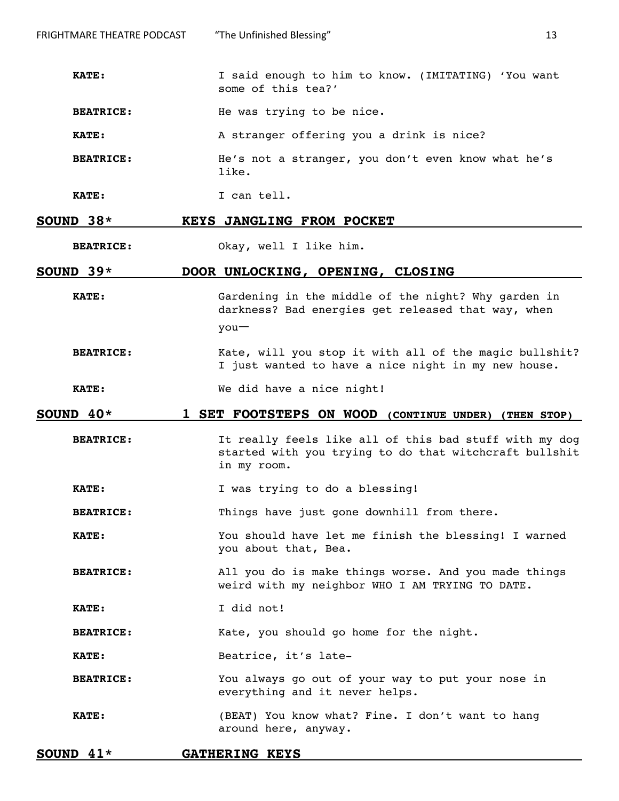**BEATRICE:** He was trying to be nice.

**KATE:** A stranger offering you a drink is nice?

**BEATRICE:** He's not a stranger, you don't even know what he's like.

**KATE:** I can tell.

#### **SOUND 38\* KEYS JANGLING FROM POCKET**

**BEATRICE:** Okay, well I like him.

# **SOUND 39\* DOOR UNLOCKING, OPENING, CLOSING**

**KATE:** Gardening in the middle of the night? Why garden in darkness? Bad energies get released that way, when youㅡ

**BEATRICE:** Kate, will you stop it with all of the magic bullshit? I just wanted to have a nice night in my new house.

**KATE:** We did have a nice night!

#### **SOUND 40\* 1 SET FOOTSTEPS ON WOOD (CONTINUE UNDER) (THEN STOP)**

**BEATRICE:** It really feels like all of this bad stuff with my dog started with you trying to do that witchcraft bullshit in my room.

**KATE:** I was trying to do a blessing!

**BEATRICE:** Things have just gone downhill from there.

**KATE:** You should have let me finish the blessing! I warned you about that, Bea.

- **BEATRICE:** All you do is make things worse. And you made things weird with my neighbor WHO I AM TRYING TO DATE.
- **KATE:** I did not!

**BEATRICE:** Kate, you should go home for the night.

**KATE:** Beatrice, it's late-

**BEATRICE:** You always go out of your way to put your nose in everything and it never helps.

**KATE:** (BEAT) You know what? Fine. I don't want to hang around here, anyway.

#### **SOUND 41\* GATHERING KEYS**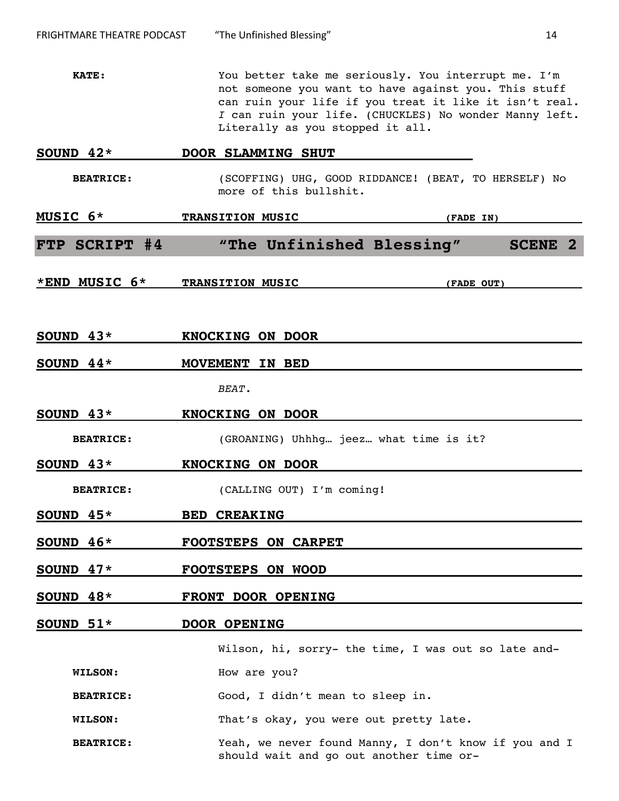**KATE:** You better take me seriously. You interrupt me. I'm not someone you want to have against you**.** This stuff can ruin your life if you treat it like it isn't real. *I* can ruin your life. (CHUCKLES) No wonder Manny left. Literally as you stopped it all.

| SOUND $42*$      | DOOR SLAMMING SHUT                                                                               |
|------------------|--------------------------------------------------------------------------------------------------|
| <b>BEATRICE:</b> | (SCOFFING) UHG, GOOD RIDDANCE! (BEAT, TO HERSELF) No<br>more of this bullshit.                   |
| MUSIC 6*         | <b>TRANSITION MUSIC</b><br>(FADE IN)                                                             |
| FTP SCRIPT #4    | "The Unfinished Blessing"<br><b>SCENE 2</b>                                                      |
| *END MUSIC 6*    | <b>TRANSITION MUSIC</b><br>(FADE OUT)                                                            |
| SOUND $43*$      | <b>KNOCKING ON DOOR</b>                                                                          |
| SOUND $44*$      | MOVEMENT IN BED                                                                                  |
|                  | BEAT.                                                                                            |
| SOUND $43*$      | KNOCKING ON DOOR                                                                                 |
| <b>BEATRICE:</b> | (GROANING) Uhhhg jeez what time is it?                                                           |
| SOUND $43*$      | <b>KNOCKING ON DOOR</b>                                                                          |
| <b>BEATRICE:</b> | (CALLING OUT) I'm coming!                                                                        |
| SOUND $45*$      | <b>BED CREAKING</b>                                                                              |
| SOUND $46*$      | <b>FOOTSTEPS ON CARPET</b>                                                                       |
| SOUND $47*$      | <b>FOOTSTEPS ON WOOD</b>                                                                         |
| SOUND $48*$      | FRONT DOOR OPENING                                                                               |
| SOUND $51*$      | <b>DOOR OPENING</b>                                                                              |
|                  | Wilson, hi, sorry- the time, I was out so late and-                                              |
| <b>WILSON:</b>   | How are you?                                                                                     |
| <b>BEATRICE:</b> | Good, I didn't mean to sleep in.                                                                 |
| WILSON:          | That's okay, you were out pretty late.                                                           |
| <b>BEATRICE:</b> | Yeah, we never found Manny, I don't know if you and I<br>should wait and go out another time or- |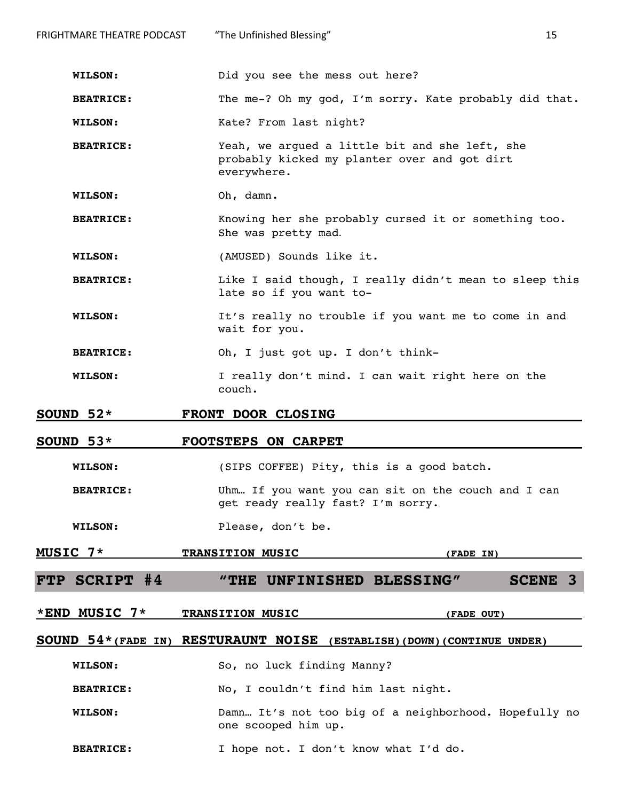| FRIGHTMARE THEATRE PODCAST                                                                            | "The Unfinished Blessing"                                                                                     | 15 |
|-------------------------------------------------------------------------------------------------------|---------------------------------------------------------------------------------------------------------------|----|
|                                                                                                       |                                                                                                               |    |
| <b>WILSON:</b>                                                                                        | Did you see the mess out here?                                                                                |    |
| <b>BEATRICE:</b>                                                                                      | The me-? Oh my god, I'm sorry. Kate probably did that.                                                        |    |
| <b>WILSON:</b>                                                                                        | Kate? From last night?                                                                                        |    |
| <b>BEATRICE:</b>                                                                                      | Yeah, we argued a little bit and she left, she<br>probably kicked my planter over and got dirt<br>everywhere. |    |
| <b>WILSON:</b>                                                                                        | Oh, damn.                                                                                                     |    |
| <b>BEATRICE:</b>                                                                                      | Knowing her she probably cursed it or something too.<br>She was pretty mad.                                   |    |
| <b>WILSON:</b>                                                                                        | (AMUSED) Sounds like it.                                                                                      |    |
| Like I said though, I really didn't mean to sleep this<br><b>BEATRICE:</b><br>late so if you want to- |                                                                                                               |    |
| <b>WILSON:</b>                                                                                        | It's really no trouble if you want me to come in and<br>wait for you.                                         |    |
| <b>BEATRICE:</b>                                                                                      | Oh, I just got up. I don't think-                                                                             |    |
| <b>WILSON:</b>                                                                                        | I really don't mind. I can wait right here on the<br>couch.                                                   |    |
| SOUND $52*$                                                                                           | FRONT DOOR CLOSING                                                                                            |    |
| SOUND $53*$                                                                                           | <b>FOOTSTEPS ON CARPET</b>                                                                                    |    |
| <b>WILSON:</b>                                                                                        | (SIPS COFFEE) Pity, this is a good batch.                                                                     |    |
| <b>BEATRICE:</b>                                                                                      | Uhm If you want you can sit on the couch and I can<br>get ready really fast? I'm sorry.                       |    |
| <b>WILSON:</b>                                                                                        | Please, don't be.                                                                                             |    |

# **MUSIC 7\*** TRANSITION MUSIC (FADE IN)

**FTP SCRIPT #4 "THE UNFINISHED BLESSING" SCENE 3**

**\*END MUSIC 7\* TRANSITION MUSIC (FADE OUT)**

# **SOUND 54\*(FADE IN) RESTURAUNT NOISE (ESTABLISH)(DOWN)(CONTINUE UNDER)**

**WILSON:** So, no luck finding Manny?

BEATRICE: No, I couldn't find him last night.

- **WILSON:** Damn… It's not too big of a neighborhood. Hopefully no one scooped him up.
- **BEATRICE:** I hope not. I don't know what I'd do.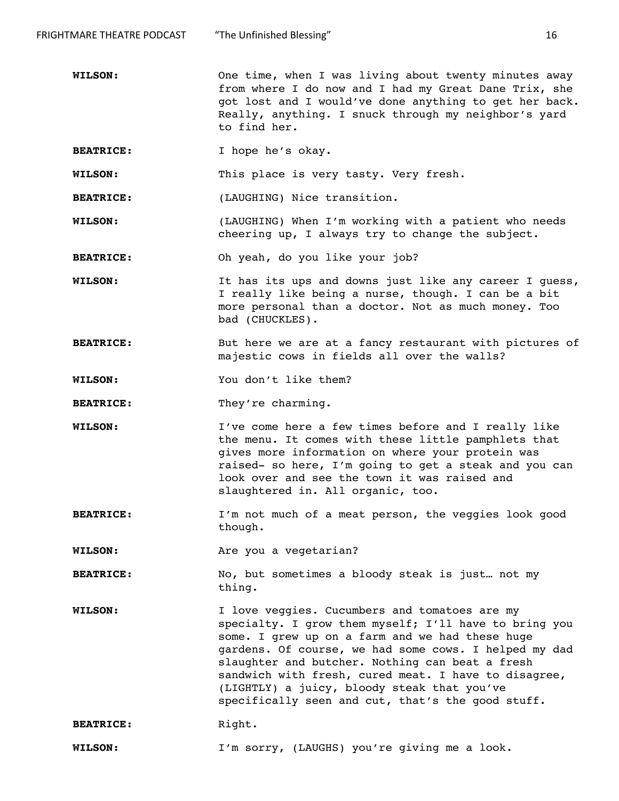**WILSON:** One time, when I was living about twenty minutes away from where I do now and I had my Great Dane Trix, she got lost and I would've done anything to get her back. Really, anything. I snuck through my neighbor's yard to find her.

**BEATRICE:** I hope he's okay.

**WILSON:** This place is very tasty. Very fresh.

**BEATRICE:** (LAUGHING) Nice transition.

**WILSON:** (LAUGHING) When I'm working with a patient who needs cheering up, I always try to change the subject.

**BEATRICE:** Oh yeah, do you like your job?

**WILSON:** It has its ups and downs just like any career I guess, I really like being a nurse, though. I can be a bit more personal than a doctor. Not as much money. Too bad (CHUCKLES).

**BEATRICE:** But here we are at a fancy restaurant with pictures of majestic cows in fields all over the walls?

**WILSON:** You don't like them?

**BEATRICE:** They're charming.

- **WILSON:** I've come here a few times before and I really like the menu. It comes with these little pamphlets that gives more information on where your protein was raised- so here, I'm going to get a steak and you can look over and see the town it was raised and slaughtered in. All organic, too.
- **BEATRICE:** I'm not much of a meat person, the veggies look good though.

**WILSON:** Are you a vegetarian?

**BEATRICE:** No, but sometimes a bloody steak is just… not my thing.

**WILSON:** I love veggies. Cucumbers and tomatoes are my specialty. I grow them myself; I'll have to bring you some. I grew up on a farm and we had these huge gardens. Of course, we had some cows. I helped my dad slaughter and butcher. Nothing can beat a fresh sandwich with fresh, cured meat. I have to disagree, (LIGHTLY) a juicy, bloody steak that you've specifically seen and cut, that's the good stuff.

BEATRICE: Right.

**WILSON:** I'm sorry, (LAUGHS) you're giving me a look.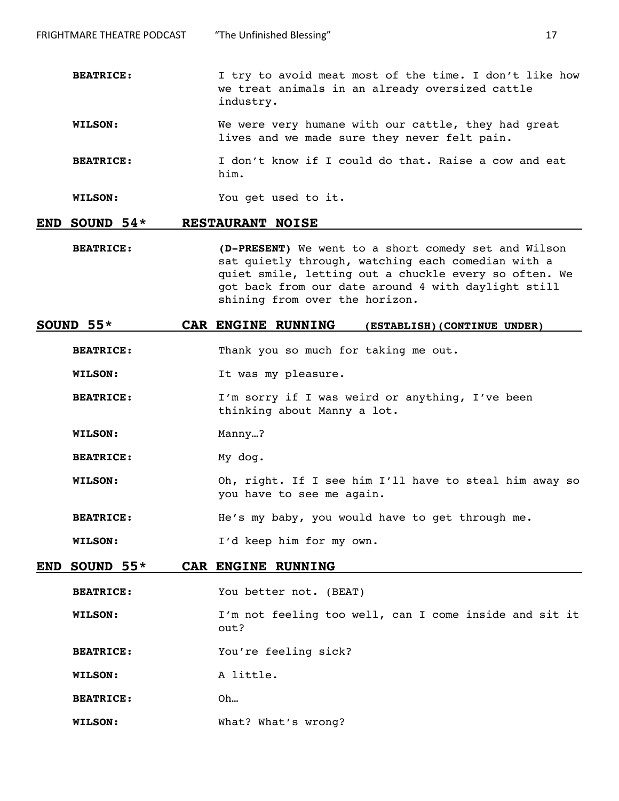- **WILSON:** We were very humane with our cattle, they had great lives and we made sure they never felt pain.
- **BEATRICE:** I don't know if I could do that. Raise a cow and eat him.

**WILSON:** You get used to it.

#### **END SOUND 54\* RESTAURANT NOISE**

**BEATRICE: (D-PRESENT)** We went to a short comedy set and Wilson sat quietly through, watching each comedian with a quiet smile, letting out a chuckle every so often. We got back from our date around 4 with daylight still shining from over the horizon.

#### **SOUND 55\* CAR ENGINE RUNNING (ESTABLISH)(CONTINUE UNDER)**

**BEATRICE:** Thank you so much for taking me out.

- **WILSON:** It was my pleasure.
- **BEATRICE:** I'm sorry if I was weird or anything, I've been thinking about Manny a lot.
- **WILSON:** Manny…?
- BEATRICE: My dog.
- **WILSON:** Oh, right. If I see him I'll have to steal him away so you have to see me again.
- **BEATRICE:** He's my baby, you would have to get through me.

**WILSON:** I'd keep him for my own.

#### **END SOUND 55\* CAR ENGINE RUNNING**

- **BEATRICE:** You better not. (BEAT)
- **WILSON:** I'm not feeling too well, can I come inside and sit it out?
- **BEATRICE:** You're feeling sick?
- **WILSON:** A little.
- **BEATRICE:** Oh…
- **WILSON:** What? What's wrong?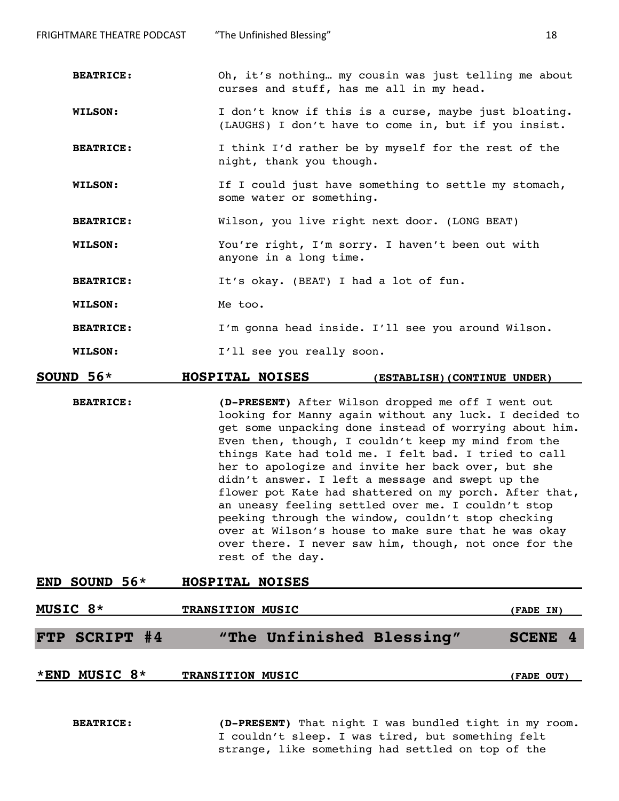**BEATRICE:** Oh, it's nothing… my cousin was just telling me about curses and stuff, has me all in my head.

**WILSON:** I don't know if this is a curse, maybe just bloating. (LAUGHS) I don't have to come in, but if you insist.

**BEATRICE:** I think I'd rather be by myself for the rest of the night, thank you though.

**WILSON:** If I could just have something to settle my stomach, some water or something.

**BEATRICE:** Wilson, you live right next door. (LONG BEAT)

**WILSON:** You're right, I'm sorry. I haven't been out with anyone in a long time.

BEATRICE: It's okay. (BEAT) I had a lot of fun.

WILSON: Me too.

**BEATRICE:** I'm gonna head inside. I'll see you around Wilson.

**WILSON:** I'll see you really soon.

#### **SOUND 56\* HOSPITAL NOISES (ESTABLISH)(CONTINUE UNDER)**

**BEATRICE: (D-PRESENT)** After Wilson dropped me off I went out looking for Manny again without any luck. I decided to get some unpacking done instead of worrying about him. Even then, though, I couldn't keep my mind from the things Kate had told me. I felt bad. I tried to call her to apologize and invite her back over, but she didn't answer. I left a message and swept up the flower pot Kate had shattered on my porch. After that, an uneasy feeling settled over me. I couldn't stop peeking through the window, couldn't stop checking over at Wilson's house to make sure that he was okay over there. I never saw him, though, not once for the rest of the day.

| END SOUND $56*$ | HOSPITAL NOISES |  |
|-----------------|-----------------|--|
|                 |                 |  |

| MUSIC 8* |               | <b>TRANSITION MUSIC</b> |                           | (FADE IN)  |
|----------|---------------|-------------------------|---------------------------|------------|
|          | FTP SCRIPT #4 |                         | "The Unfinished Blessing" | SCENE 4    |
|          | *END MUSIC 8* | <b>TRANSITION MUSIC</b> |                           | (FADE OUT) |

**BEATRICE: (D-PRESENT)** That night I was bundled tight in my room. I couldn't sleep. I was tired, but something felt strange, like something had settled on top of the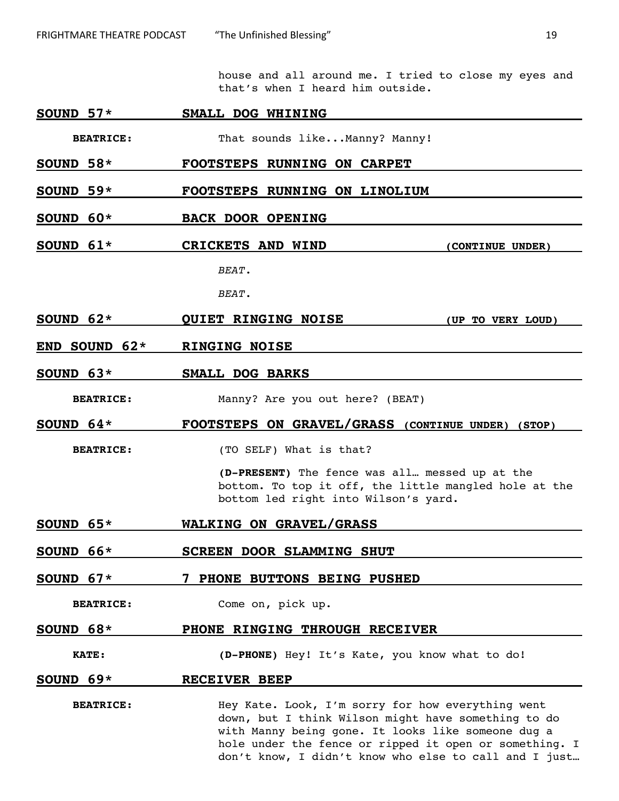house and all around me. I tried to close my eyes and that's when I heard him outside.

# **SOUND 57\* SMALL DOG WHINING**

BEATRICE: That sounds like...Manny? Manny!

- **SOUND 58\* FOOTSTEPS RUNNING ON CARPET**
- **SOUND 59\* FOOTSTEPS RUNNING ON LINOLIUM**
- **SOUND 60\* BACK DOOR OPENING**
- **SOUND 61\* CRICKETS AND WIND (CONTINUE UNDER)** *BEAT.*

*BEAT.*

- **SOUND 62\* QUIET RINGING NOISE (UP TO VERY LOUD)**
- **END SOUND 62\* RINGING NOISE**
- **SOUND 63\* SMALL DOG BARKS**

**BEATRICE:** Manny? Are you out here? (BEAT)

**SOUND 64\* FOOTSTEPS ON GRAVEL/GRASS (CONTINUE UNDER) (STOP)**

**BEATRICE:** (TO SELF) What is that?

**(D-PRESENT)** The fence was all… messed up at the bottom. To top it off, the little mangled hole at the bottom led right into Wilson's yard.

- **SOUND 65\* WALKING ON GRAVEL/GRASS**
- **SOUND 66\* SCREEN DOOR SLAMMING SHUT**
- **SOUND 67\* 7 PHONE BUTTONS BEING PUSHED**
	- **BEATRICE:** Come on, pick up.

# **SOUND 68\* PHONE RINGING THROUGH RECEIVER**

**KATE: (D-PHONE)** Hey! It's Kate, you know what to do!

#### **SOUND 69\* RECEIVER BEEP**

**BEATRICE:** Hey Kate. Look, I'm sorry for how everything went down, but I think Wilson might have something to do with Manny being gone. It looks like someone dug a hole under the fence or ripped it open or something. I don't know, I didn't know who else to call and I just…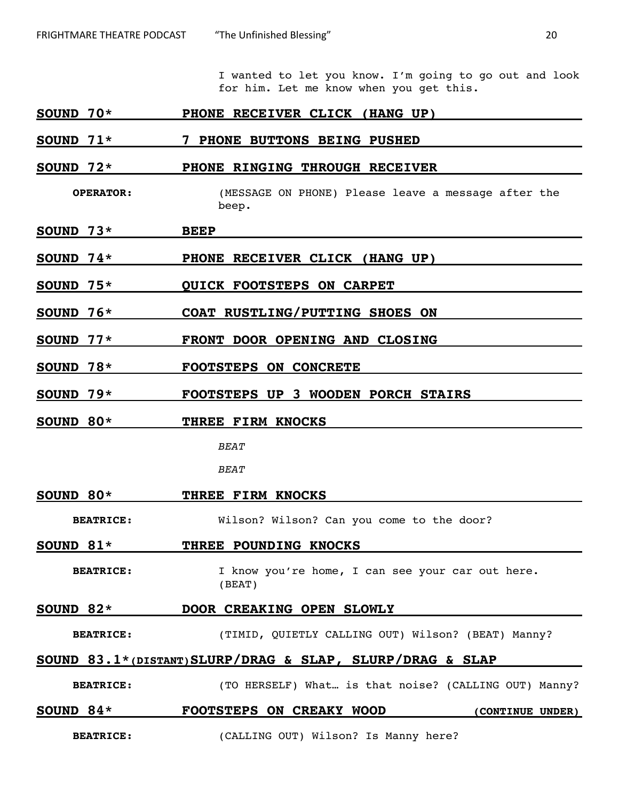I wanted to let you know. I'm going to go out and look for him. Let me know when you get this.

#### **SOUND 70\* PHONE RECEIVER CLICK (HANG UP)**

#### **SOUND 71\* 7 PHONE BUTTONS BEING PUSHED**

#### **SOUND 72\* PHONE RINGING THROUGH RECEIVER**

**OPERATOR:** (MESSAGE ON PHONE) Please leave a message after the beep.

- **SOUND 73\* BEEP**
- **SOUND 74\* PHONE RECEIVER CLICK (HANG UP)**
- **SOUND 75\* QUICK FOOTSTEPS ON CARPET**
- **SOUND 76\* COAT RUSTLING/PUTTING SHOES ON**
- **SOUND 77\* FRONT DOOR OPENING AND CLOSING**
- **SOUND 78\* FOOTSTEPS ON CONCRETE**
- **SOUND 79\* FOOTSTEPS UP 3 WOODEN PORCH STAIRS**
- **SOUND 80\* THREE FIRM KNOCKS**

*BEAT*

*BEAT*

#### **SOUND 80\* THREE FIRM KNOCKS**

**BEATRICE:** Wilson? Wilson? Can you come to the door?

#### **SOUND 81\* THREE POUNDING KNOCKS**

BEATRICE: I know you're home, I can see your car out here. (BEAT)

#### **SOUND 82\* DOOR CREAKING OPEN SLOWLY**

**BEATRICE:** (TIMID, QUIETLY CALLING OUT) Wilson? (BEAT) Manny?

#### **SOUND 83.1\*(DISTANT)SLURP/DRAG & SLAP, SLURP/DRAG & SLAP**

**BEATRICE:** (TO HERSELF) What… is that noise? (CALLING OUT) Manny?

# **SOUND 84\* FOOTSTEPS ON CREAKY WOOD (CONTINUE UNDER)**

**BEATRICE:** (CALLING OUT) Wilson? Is Manny here?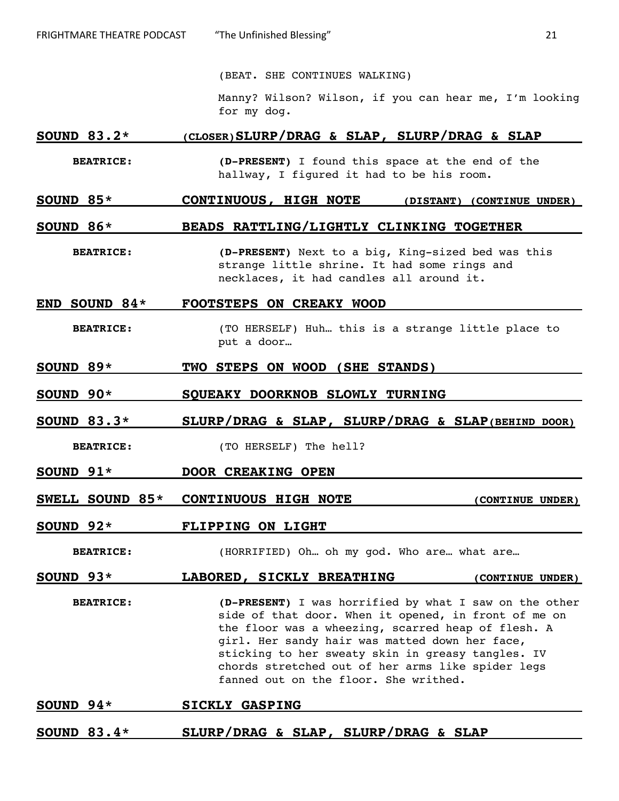(BEAT. SHE CONTINUES WALKING)

Manny? Wilson? Wilson, if you can hear me, I'm looking for my dog.

# **SOUND 83.2\* (CLOSER)SLURP/DRAG & SLAP, SLURP/DRAG & SLAP**

**BEATRICE: (D-PRESENT)** I found this space at the end of the hallway, I figured it had to be his room.

# **SOUND 85\* CONTINUOUS, HIGH NOTE (DISTANT) (CONTINUE UNDER)**

#### **SOUND 86\* BEADS RATTLING/LIGHTLY CLINKING TOGETHER**

**BEATRICE: (D-PRESENT)** Next to a big, King-sized bed was this strange little shrine. It had some rings and necklaces, it had candles all around it.

#### **END SOUND 84\* FOOTSTEPS ON CREAKY WOOD**

- **BEATRICE:** (TO HERSELF) Huh… this is a strange little place to put a door…
- **SOUND 89\* TWO STEPS ON WOOD (SHE STANDS)**
- **SOUND 90\* SQUEAKY DOORKNOB SLOWLY TURNING**
- **SOUND 83.3\* SLURP/DRAG & SLAP, SLURP/DRAG & SLAP(BEHIND DOOR)**
	- **BEATRICE:** (TO HERSELF) The hell?
- **SOUND 91\* DOOR CREAKING OPEN**
- **SWELL SOUND 85\* CONTINUOUS HIGH NOTE** (CONTINUE UNDER)
- **SOUND 92\* FLIPPING ON LIGHT**

**BEATRICE:** (HORRIFIED) Oh… oh my god. Who are… what are…

# SOUND 93\* **LABORED**, SICKLY BREATHING **(CONTINUE UNDER)**

**BEATRICE: (D-PRESENT)** I was horrified by what I saw on the other side of that door. When it opened, in front of me on the floor was a wheezing, scarred heap of flesh. A girl. Her sandy hair was matted down her face, sticking to her sweaty skin in greasy tangles. IV chords stretched out of her arms like spider legs fanned out on the floor. She writhed.

#### **SOUND 94\* SICKLY GASPING**

**SOUND 83.4\* SLURP/DRAG & SLAP, SLURP/DRAG & SLAP**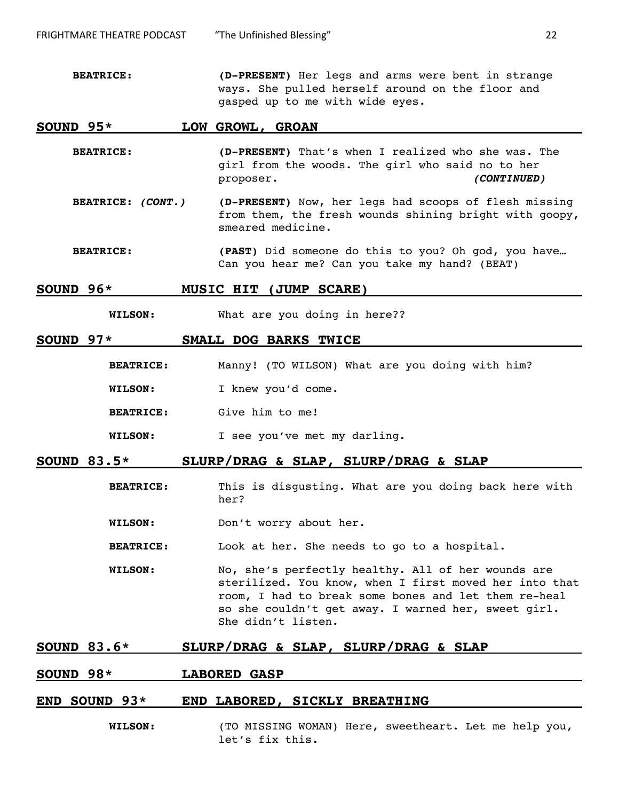**BEATRICE: (D-PRESENT)** Her legs and arms were bent in strange ways. She pulled herself around on the floor and gasped up to me with wide eyes.

#### **SOUND 95\* LOW GROWL, GROAN**

- **BEATRICE: (D-PRESENT)** That's when I realized who she was. The girl from the woods. The girl who said no to her proposer. **(CONTINUED)**
- **BEATRICE: (CONT.) (D-PRESENT)** Now, her legs had scoops of flesh missing from them, the fresh wounds shining bright with goopy, smeared medicine.
- **BEATRICE: (PAST)** Did someone do this to you? Oh god, you have… Can you hear me? Can you take my hand? (BEAT)

#### **SOUND 96\* MUSIC HIT (JUMP SCARE)**

**WILSON:** What are you doing in here??

#### **SOUND 97\* SMALL DOG BARKS TWICE**

- **BEATRICE:** Manny! (TO WILSON) What are you doing with him?
- **WILSON:** I knew you'd come.
- **BEATRICE:** Give him to me!
- **WILSON:** I see you've met my darling.

# **SOUND 83.5\* SLURP/DRAG & SLAP, SLURP/DRAG & SLAP**

- **BEATRICE:** This is disgusting. What are you doing back here with her?
- **WILSON:** Don't worry about her.
- **BEATRICE:** Look at her. She needs to go to a hospital.
- **WILSON:** No, she's perfectly healthy. All of her wounds are sterilized. You know, when I first moved her into that room, I had to break some bones and let them re-heal so she couldn't get away. I warned her, sweet girl. She didn't listen.

# **SOUND 83.6\* SLURP/DRAG & SLAP, SLURP/DRAG & SLAP**

# **SOUND 98\* LABORED GASP**

### **END SOUND 93\* END LABORED, SICKLY BREATHING**

**WILSON:** (TO MISSING WOMAN) Here, sweetheart. Let me help you, let's fix this.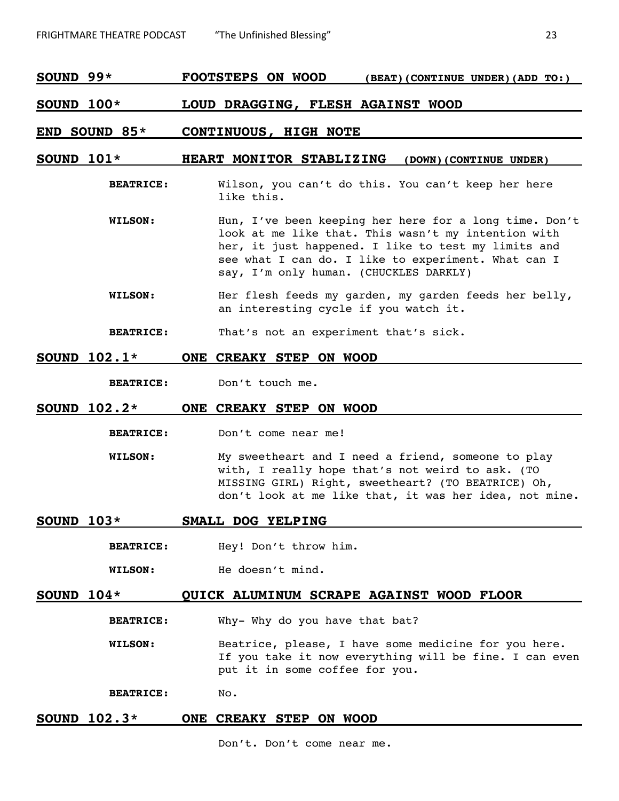**SOUND 99\* FOOTSTEPS ON WOOD (BEAT)(CONTINUE UNDER)(ADD TO:)**

#### **SOUND 100\* LOUD DRAGGING, FLESH AGAINST WOOD**

#### **END SOUND 85\* CONTINUOUS, HIGH NOTE**

# **SOUND 101\* HEART MONITOR STABLIZING (DOWN)(CONTINUE UNDER)**

- **BEATRICE:** Wilson, you can't do this. You can't keep her here like this.
- **WILSON:** Hun, I've been keeping her here for a long time. Don't look at me like that. This wasn't my intention with her, it just happened. I like to test my limits and see what I can do. I like to experiment. What can I say, I'm only human. (CHUCKLES DARKLY)
- **WILSON:** Her flesh feeds my garden, my garden feeds her belly, an interesting cycle if you watch it.

**BEATRICE:** That's not an experiment that's sick.

#### **SOUND 102.1\* ONE CREAKY STEP ON WOOD**

**BEATRICE:** Don't touch me.

#### **SOUND 102.2\* ONE CREAKY STEP ON WOOD**

- **BEATRICE:** Don't come near me!
- **WILSON:** My sweetheart and I need a friend, someone to play with, I really hope that's not weird to ask. (TO MISSING GIRL) Right, sweetheart? (TO BEATRICE) Oh, don't look at me like that, it was her idea, not mine.

#### **SOUND 103\* SMALL DOG YELPING**

**BEATRICE:** Hey! Don't throw him.

**WILSON:** He doesn't mind.

#### **SOUND 104\* QUICK ALUMINUM SCRAPE AGAINST WOOD FLOOR**

**BEATRICE:** Why- Why do you have that bat?

**WILSON:** Beatrice, please, I have some medicine for you here. If you take it now everything will be fine. I can even put it in some coffee for you.

**BEATRICE:** No.

# **SOUND 102.3\* ONE CREAKY STEP ON WOOD**

Don't. Don't come near me.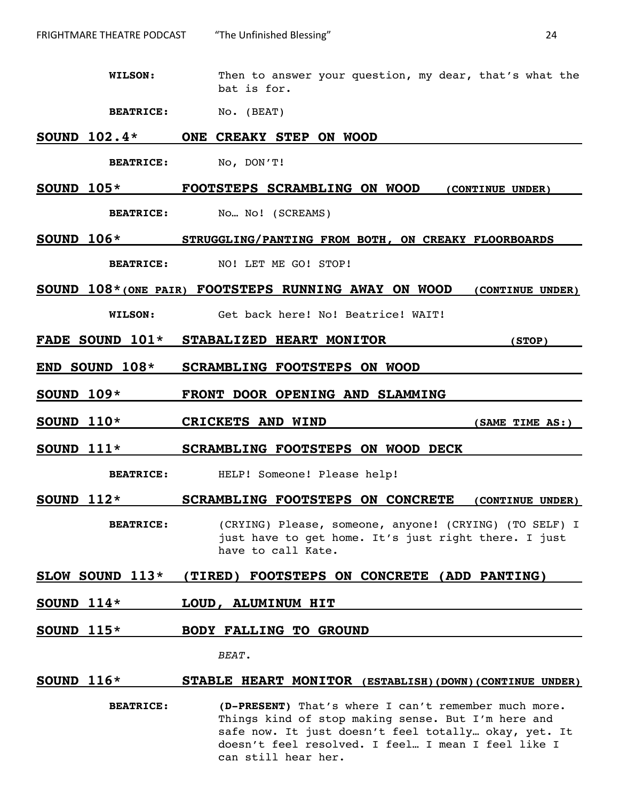**WILSON:** Then to answer your question, my dear, that's what the bat is for.

**BEATRICE:** No. (BEAT)

#### **SOUND 102.4\* ONE CREAKY STEP ON WOOD**

**BEATRICE:** No, DON'T!

**SOUND 105\* FOOTSTEPS SCRAMBLING ON WOOD (CONTINUE UNDER) BEATRICE:** No... No! (SCREAMS)

**SOUND 106\* STRUGGLING/PANTING FROM BOTH, ON CREAKY FLOORBOARDS BEATRICE:** NO! LET ME GO! STOP!

**SOUND 108\*(ONE PAIR) FOOTSTEPS RUNNING AWAY ON WOOD (CONTINUE UNDER)**

**WILSON:** Get back here! No! Beatrice! WAIT!

- **FADE SOUND 101\* STABALIZED HEART MONITOR (STOP)**
- **END SOUND 108\* SCRAMBLING FOOTSTEPS ON WOOD**
- **SOUND 109\* FRONT DOOR OPENING AND SLAMMING**
- **SOUND 110\* CRICKETS AND WIND (SAME TIME AS:)**

**SOUND 111\* SCRAMBLING FOOTSTEPS ON WOOD DECK**

**BEATRICE:** HELP! Someone! Please help!

**SOUND 112\* SCRAMBLING FOOTSTEPS ON CONCRETE (CONTINUE UNDER)**

**BEATRICE:** (CRYING) Please, someone, anyone! (CRYING) (TO SELF) I just have to get home. It's just right there. I just have to call Kate.

#### **SLOW SOUND 113\* (TIRED) FOOTSTEPS ON CONCRETE (ADD PANTING)**

- **SOUND 114\* LOUD, ALUMINUM HIT**
- **SOUND 115\* BODY FALLING TO GROUND**

*BEAT.*

#### **SOUND 116\* STABLE HEART MONITOR (ESTABLISH)(DOWN)(CONTINUE UNDER)**

**BEATRICE: (D-PRESENT)** That's where I can't remember much more. Things kind of stop making sense. But I'm here and safe now. It just doesn't feel totally… okay, yet. It doesn't feel resolved. I feel… I mean I feel like I can still hear her.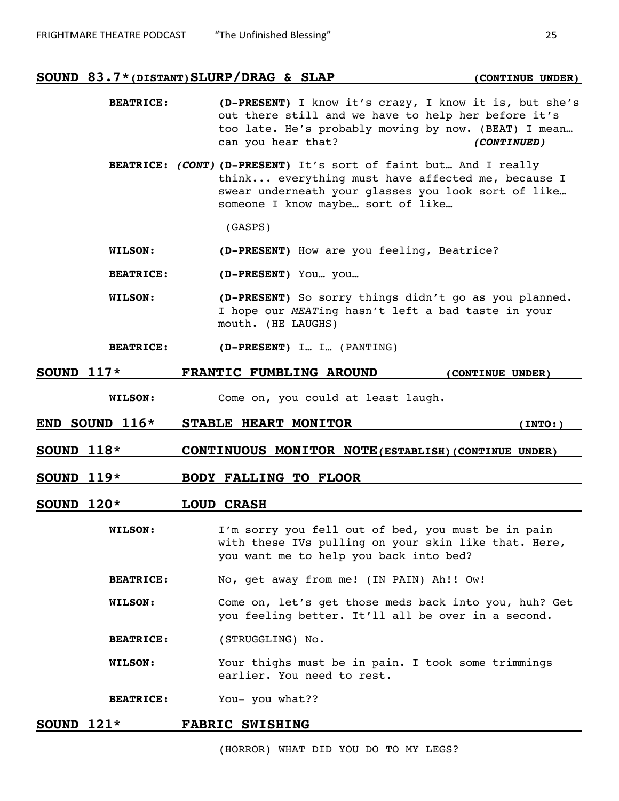#### **SOUND 83.7\*(DISTANT) SLURP/DRAG & SLAP (CONTINUE UNDER)**

- **BEATRICE: (D-PRESENT)** I know it's crazy, I know it is, but she's out there still and we have to help her before it's too late. He's probably moving by now. (BEAT) I mean… can you hear that? **(CONTINUED)**
- **BEATRICE: (CONT) (D-PRESENT)** It's sort of faint but… And I really think... everything must have affected me, because I swear underneath your glasses you look sort of like… someone I know maybe… sort of like…

(GASPS)

- **WILSON: (D-PRESENT)** How are you feeling, Beatrice?
- **BEATRICE: (D-PRESENT)** You… you…
- **WILSON: (D-PRESENT)** So sorry things didn't go as you planned. I hope our *MEAT*ing hasn't left a bad taste in your mouth. (HE LAUGHS)
- **BEATRICE: (D-PRESENT)** I… I… (PANTING)
- **SOUND 117\* FRANTIC FUMBLING AROUND (CONTINUE UNDER)**
	- **WILSON:** Come on, you could at least laugh.
- **END SOUND 116\* STABLE HEART MONITOR (INTO:)**

- **SOUND 118\* CONTINUOUS MONITOR NOTE(ESTABLISH)(CONTINUE UNDER)**
- **SOUND 119\* BODY FALLING TO FLOOR**

#### **SOUND 120\* LOUD CRASH**

- **WILSON:** I'm sorry you fell out of bed, you must be in pain with these IVs pulling on your skin like that. Here, you want me to help you back into bed?
- **BEATRICE:** No, get away from me! (IN PAIN) Ah!! Ow!
- **WILSON:** Come on, let's get those meds back into you, huh? Get you feeling better. It'll all be over in a second.
- **BEATRICE:** (STRUGGLING) No.
- **WILSON:** Your thighs must be in pain. I took some trimmings earlier. You need to rest.
- **BEATRICE:** You- you what??

#### **SOUND 121\* FABRIC SWISHING**

(HORROR) WHAT DID YOU DO TO MY LEGS?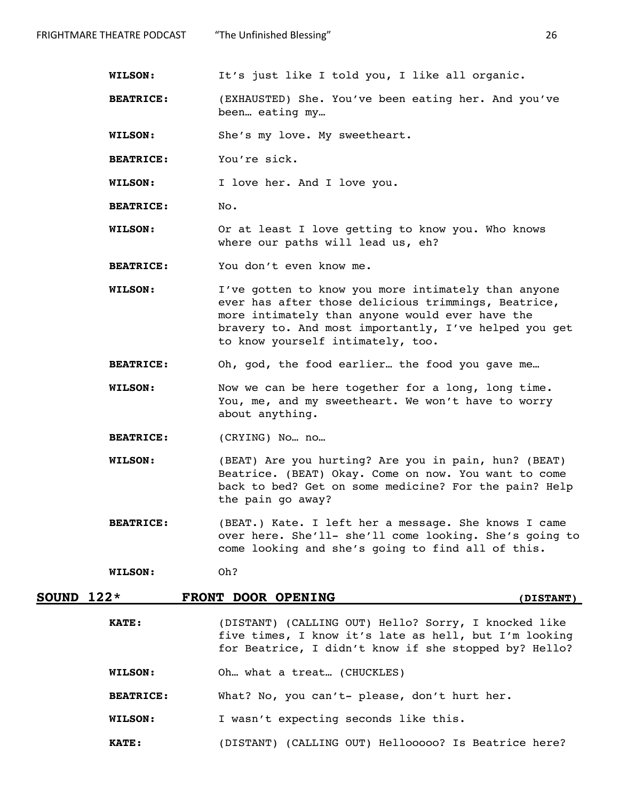**WILSON:** It's just like I told you, I like all organic.

- **BEATRICE:** (EXHAUSTED) She. You've been eating her. And you've been… eating my…
- **WILSON:** She's my love. My sweetheart.
- **BEATRICE:** You're sick.

**WILSON:** I love her. And I love you.

- **BEATRICE:** No.
- **WILSON:** Or at least I love getting to know you. Who knows where our paths will lead us, eh?
- **BEATRICE:** You don't even know me.
- **WILSON:** I've gotten to know you more intimately than anyone ever has after those delicious trimmings, Beatrice, more intimately than anyone would ever have the bravery to. And most importantly, I've helped you get to know yourself intimately, too.
- **BEATRICE:** Oh, god, the food earlier… the food you gave me…
- **WILSON:** Now we can be here together for a long, long time. You, me, and my sweetheart. We won't have to worry about anything.
- **BEATRICE:** (CRYING) No… no…
- **WILSON:** (BEAT) Are you hurting? Are you in pain, hun? (BEAT) Beatrice. (BEAT) Okay. Come on now. You want to come back to bed? Get on some medicine? For the pain? Help the pain go away?
- **BEATRICE:** (BEAT.) Kate. I left her a message. She knows I came over here. She'll- she'll come looking. She's going to come looking and she's going to find all of this.

**WILSON:** Oh?

# **SOUND 122\* FRONT DOOR OPENING (DISTANT)**

- **KATE:** (DISTANT) (CALLING OUT) Hello? Sorry, I knocked like five times, I know it's late as hell, but I'm looking for Beatrice, I didn't know if she stopped by? Hello?
- **WILSON:** Oh… what a treat… (CHUCKLES)
- **BEATRICE:** What? No, you can't- please, don't hurt her.
- **WILSON:** I wasn't expecting seconds like this.
- **KATE:** (DISTANT) (CALLING OUT) Hellooooo? Is Beatrice here?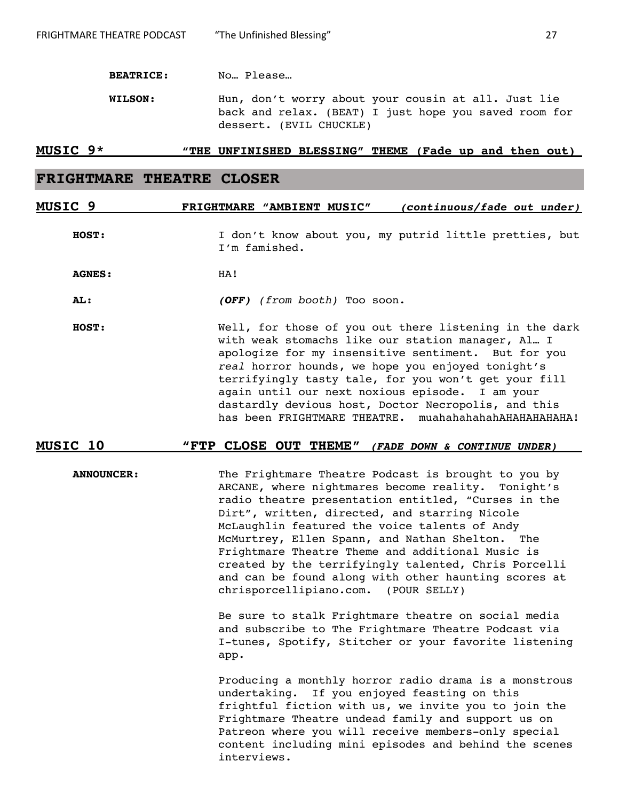**BEATRICE:** No… Please…

**WILSON:** Hun, don't worry about your cousin at all. Just lie back and relax. (BEAT) I just hope you saved room for dessert. (EVIL CHUCKLE)

#### **MUSIC 9\* "THE UNFINISHED BLESSING" THEME (Fade up and then out)**

# **FRIGHTMARE THEATRE CLOSER**

# **MUSIC 9 FRIGHTMARE "AMBIENT MUSIC" (continuous/fade out under)**

**HOST:** I don't know about you, my putrid little pretties, but I'm famished.

**AGNES:** HA!

**AL: (OFF)** *(from booth)* Too soon.

**HOST:** Well, for those of you out there listening in the dark with weak stomachs like our station manager, Al… I apologize for my insensitive sentiment. But for you *real* horror hounds, we hope you enjoyed tonight's terrifyingly tasty tale, for you won't get your fill again until our next noxious episode. I am your dastardly devious host, Doctor Necropolis, and this has been FRIGHTMARE THEATRE. muahahahahahAHAHAHAHAHA!

# **MUSIC 10 "FTP CLOSE OUT THEME" (FADE DOWN & CONTINUE UNDER)**

**ANNOUNCER:** The Frightmare Theatre Podcast is brought to you by ARCANE, where nightmares become reality. Tonight's radio theatre presentation entitled, "Curses in the Dirt", written, directed, and starring Nicole McLaughlin featured the voice talents of Andy McMurtrey, Ellen Spann, and Nathan Shelton. The Frightmare Theatre Theme and additional Music is created by the terrifyingly talented, Chris Porcelli and can be found along with other haunting scores at chrisporcellipiano.com. (POUR SELLY)

> Be sure to stalk Frightmare theatre on social media and subscribe to The Frightmare Theatre Podcast via I-tunes, Spotify, Stitcher or your favorite listening app.

> Producing a monthly horror radio drama is a monstrous undertaking. If you enjoyed feasting on this frightful fiction with us, we invite you to join the Frightmare Theatre undead family and support us on Patreon where you will receive members-only special content including mini episodes and behind the scenes interviews.